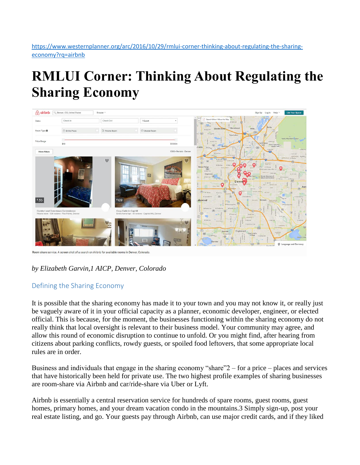[https://www.westernplanner.org/arc/2016/10/29/rmlui-corner-thinking-about-regulating-the-sharing](https://www.westernplanner.org/arc/2016/10/29/rmlui-corner-thinking-about-regulating-the-sharing-economy?rq=airbnb)[economy?rq=airbnb](https://www.westernplanner.org/arc/2016/10/29/rmlui-corner-thinking-about-regulating-the-sharing-economy?rq=airbnb)

# **RMLUI Corner: Thinking About Regulating the Sharing Economy**



Room share service. A screen shot of a search on Airbnb for available rooms in Denver, Colorado

# *by Elizabeth Garvin,1 AICP, Denver, Colorado*

# Defining the Sharing Economy

It is possible that the sharing economy has made it to your town and you may not know it, or really just be vaguely aware of it in your official capacity as a planner, economic developer, engineer, or elected official. This is because, for the moment, the businesses functioning within the sharing economy do not really think that local oversight is relevant to their business model. Your community may agree, and allow this round of economic disruption to continue to unfold. Or you might find, after hearing from citizens about parking conflicts, rowdy guests, or spoiled food leftovers, that some appropriate local rules are in order.

Business and individuals that engage in the sharing economy "share"2 – for a price – places and services that have historically been held for private use. The two highest profile examples of sharing businesses are room-share via Airbnb and car/ride-share via Uber or Lyft.

Airbnb is essentially a central reservation service for hundreds of spare rooms, guest rooms, guest homes, primary homes, and your dream vacation condo in the mountains.3 Simply sign-up, post your real estate listing, and go. Your guests pay through Airbnb, can use major credit cards, and if they liked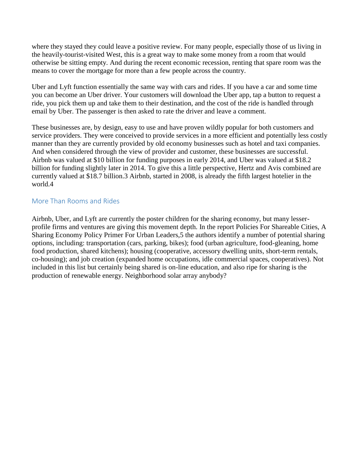where they stayed they could leave a positive review. For many people, especially those of us living in the heavily-tourist-visited West, this is a great way to make some money from a room that would otherwise be sitting empty. And during the recent economic recession, renting that spare room was the means to cover the mortgage for more than a few people across the country.

Uber and Lyft function essentially the same way with cars and rides. If you have a car and some time you can become an Uber driver. Your customers will download the Uber app, tap a button to request a ride, you pick them up and take them to their destination, and the cost of the ride is handled through email by Uber. The passenger is then asked to rate the driver and leave a comment.

These businesses are, by design, easy to use and have proven wildly popular for both customers and service providers. They were conceived to provide services in a more efficient and potentially less costly manner than they are currently provided by old economy businesses such as hotel and taxi companies. And when considered through the view of provider and customer, these businesses are successful. Airbnb was valued at \$10 billion for funding purposes in early 2014, and Uber was valued at \$18.2 billion for funding slightly later in 2014. To give this a little perspective, Hertz and Avis combined are currently valued at \$18.7 billion.3 Airbnb, started in 2008, is already the fifth largest hotelier in the world.4

## More Than Rooms and Rides

Airbnb, Uber, and Lyft are currently the poster children for the sharing economy, but many lesserprofile firms and ventures are giving this movement depth. In the report Policies For Shareable Cities, A Sharing Economy Policy Primer For Urban Leaders,5 the authors identify a number of potential sharing options, including: transportation (cars, parking, bikes); food (urban agriculture, food-gleaning, home food production, shared kitchens); housing (cooperative, accessory dwelling units, short-term rentals, co-housing); and job creation (expanded home occupations, idle commercial spaces, cooperatives). Not included in this list but certainly being shared is on-line education, and also ripe for sharing is the production of renewable energy. Neighborhood solar array anybody?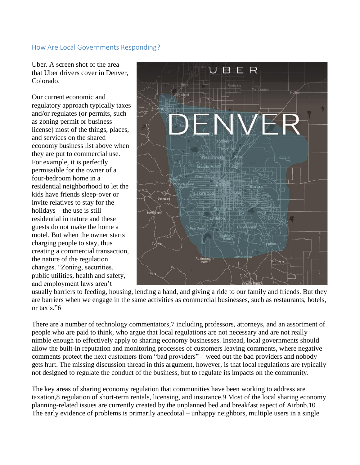### How Are Local Governments Responding?

Uber. A screen shot of the area that Uber drivers cover in Denver, Colorado.

Our current economic and regulatory approach typically taxes and/or regulates (or permits, such as zoning permit or business license) most of the things, places, and services on the shared economy business list above when they are put to commercial use. For example, it is perfectly permissible for the owner of a four-bedroom home in a residential neighborhood to let the kids have friends sleep-over or invite relatives to stay for the holidays – the use is still residential in nature and these guests do not make the home a motel. But when the owner starts charging people to stay, thus creating a commercial transaction, the nature of the regulation changes. "Zoning, securities, public utilities, health and safety, and employment laws aren't



usually barriers to feeding, housing, lending a hand, and giving a ride to our family and friends. But they are barriers when we engage in the same activities as commercial businesses, such as restaurants, hotels, or taxis."6

There are a number of technology commentators,7 including professors, attorneys, and an assortment of people who are paid to think, who argue that local regulations are not necessary and are not really nimble enough to effectively apply to sharing economy businesses. Instead, local governments should allow the built-in reputation and monitoring processes of customers leaving comments, where negative comments protect the next customers from "bad providers" – weed out the bad providers and nobody gets hurt. The missing discussion thread in this argument, however, is that local regulations are typically not designed to regulate the conduct of the business, but to regulate its impacts on the community.

The key areas of sharing economy regulation that communities have been working to address are taxation,8 regulation of short-term rentals, licensing, and insurance.9 Most of the local sharing economy planning-related issues are currently created by the unplanned bed and breakfast aspect of Airbnb.10 The early evidence of problems is primarily anecdotal – unhappy neighbors, multiple users in a single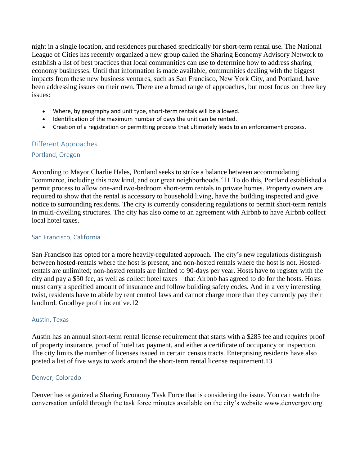night in a single location, and residences purchased specifically for short-term rental use. The National League of Cities has recently organized a new group called the Sharing Economy Advisory Network to establish a list of best practices that local communities can use to determine how to address sharing economy businesses. Until that information is made available, communities dealing with the biggest impacts from these new business ventures, such as San Francisco, New York City, and Portland, have been addressing issues on their own. There are a broad range of approaches, but most focus on three key issues:

- Where, by geography and unit type, short-term rentals will be allowed.
- Identification of the maximum number of days the unit can be rented.
- Creation of a registration or permitting process that ultimately leads to an enforcement process.

## Different Approaches

#### Portland, Oregon

According to Mayor Charlie Hales, Portland seeks to strike a balance between accommodating "commerce, including this new kind, and our great neighborhoods."11 To do this, Portland established a permit process to allow one-and two-bedroom short-term rentals in private homes. Property owners are required to show that the rental is accessory to household living, have the building inspected and give notice to surrounding residents. The city is currently considering regulations to permit short-term rentals in multi-dwelling structures. The city has also come to an agreement with Airbnb to have Airbnb collect local hotel taxes.

#### San Francisco, California

San Francisco has opted for a more heavily-regulated approach. The city's new regulations distinguish between hosted-rentals where the host is present, and non-hosted rentals where the host is not. Hostedrentals are unlimited; non-hosted rentals are limited to 90-days per year. Hosts have to register with the city and pay a \$50 fee, as well as collect hotel taxes – that Airbnb has agreed to do for the hosts. Hosts must carry a specified amount of insurance and follow building safety codes. And in a very interesting twist, residents have to abide by rent control laws and cannot charge more than they currently pay their landlord. Goodbye profit incentive.12

#### Austin, Texas

Austin has an annual short-term rental license requirement that starts with a \$285 fee and requires proof of property insurance, proof of hotel tax payment, and either a certificate of occupancy or inspection. The city limits the number of licenses issued in certain census tracts. Enterprising residents have also posted a list of five ways to work around the short-term rental license requirement.13

#### Denver, Colorado

Denver has organized a Sharing Economy Task Force that is considering the issue. You can watch the conversation unfold through the task force minutes available on the city's website www.denvergov.org.